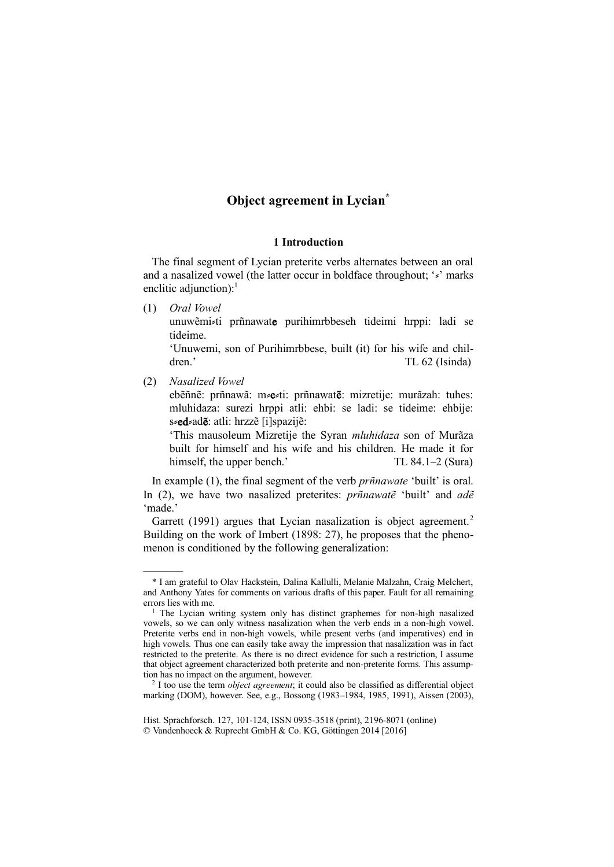# **Object agreement in Lycian\***

### **1 Introduction**

The final segment of Lycian preterite verbs alternates between an oral and a nasalized vowel (the latter occur in boldface throughout; 's' marks enclitic adjunction): $<sup>1</sup>$ </sup>

(1) *Oral Vowel*

unuwẽmi⸗ti prñnawate purihimrbbeseh tideimi hrppi: ladi se tideime.

'Unuwemi, son of Purihimrbbese, built (it) for his wife and children.' TL 62 (Isinda)

(2) *Nasalized Vowel* 

–––––––

ebẽñnẽ: prñnawã: m⸗e⸗ti: prñnawatẽ: mizretije: murãzah: tuhes: mluhidaza: surezi hrppi atli: ehbi: se ladi: se tideime: ehbije: s $s$ ed ad**ě**: atli: hrzzě [i]spazijě:

'This mausoleum Mizretije the Syran *mluhidaza* son of Murãza built for himself and his wife and his children. He made it for himself, the upper bench.' TL 84.1–2 (Sura)

In example (1), the final segment of the verb *prñnawate* 'built' is oral. In (2), we have two nasalized preterites: *prñnawatẽ* 'built' and *adẽ*  'made.'

Garrett (1991) argues that Lycian nasalization is object agreement.<sup>2</sup> Building on the work of Imbert (1898: 27), he proposes that the phenomenon is conditioned by the following generalization:

<sup>\*</sup> I am grateful to Olav Hackstein, Dalina Kallulli, Melanie Malzahn, Craig Melchert, and Anthony Yates for comments on various drafts of this paper. Fault for all remaining errors lies with me.

<sup>&</sup>lt;sup>1</sup> The Lycian writing system only has distinct graphemes for non-high nasalized vowels, so we can only witness nasalization when the verb ends in a non-high vowel. Preterite verbs end in non-high vowels, while present verbs (and imperatives) end in high vowels. Thus one can easily take away the impression that nasalization was in fact restricted to the preterite. As there is no direct evidence for such a restriction, I assume that object agreement characterized both preterite and non-preterite forms. This assumption has no impact on the argument, however.

<sup>2</sup> I too use the term *object agreement*; it could also be classified as differential object marking (DOM), however. See, e.g., Bossong (1983–1984, 1985, 1991), Aissen (2003),

Hist. Sprachforsch. 127, 101-124, ISSN 0935-3518 (print), 2196-8071 (online) © Vandenhoeck & Ruprecht GmbH & Co. KG, Göttingen 2014 [2016]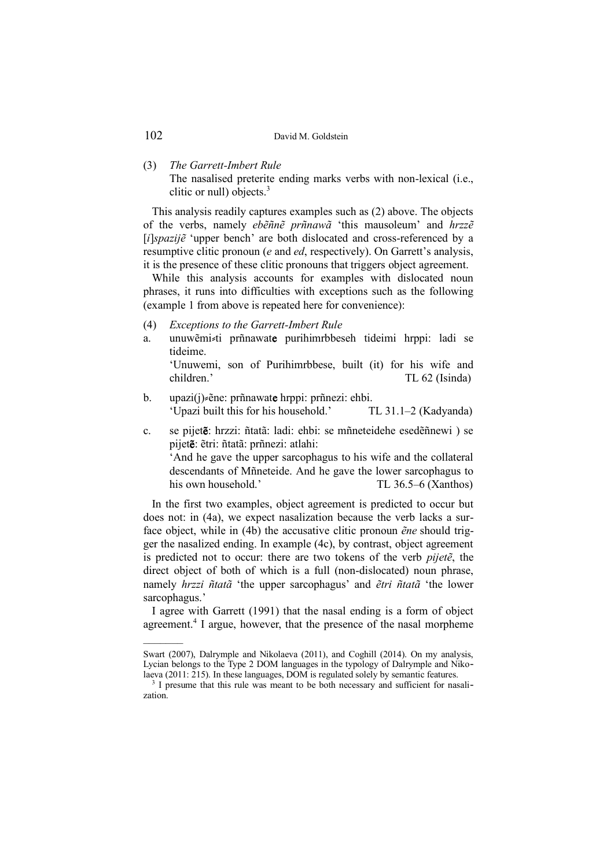#### (3) *The Garrett-Imbert Rule*

The nasalised preterite ending marks verbs with non-lexical (i.e., clitic or null) objects.<sup>3</sup>

This analysis readily captures examples such as (2) above. The objects of the verbs, namely *ebẽñnẽ prñnawã* 'this mausoleum' and *hrzzẽ*  [*i*]*spazijẽ* 'upper bench' are both dislocated and cross-referenced by a resumptive clitic pronoun (*e* and *ed*, respectively). On Garrett's analysis, it is the presence of these clitic pronouns that triggers object agreement.

While this analysis accounts for examples with dislocated noun phrases, it runs into difficulties with exceptions such as the following (example 1 from above is repeated here for convenience):

- (4) *Exceptions to the Garrett-Imbert Rule*
- a. unuwẽmi ti prñnawate purihimrbbeseh tideimi hrppi: ladi se tideime.

'Unuwemi, son of Purihimrbbese, built (it) for his wife and children.' TL 62 (Isinda)

- b. upazi(j)  $\varepsilon$ ene: prñnawate hrppi: prñnezi: ehbi. 'Upazi built this for his household.' TL 31.1–2 (Kadyanda)
- c. se pijetẽ: hrzzi: ñtatã: ladi: ehbi: se mñneteidehe esedẽñnewi ) se pijetẽ: ẽtri: ñtatã: prñnezi: atlahi: 'And he gave the upper sarcophagus to his wife and the collateral descendants of Mñneteide. And he gave the lower sarcophagus to his own household.' TL 36.5–6 (Xanthos)

In the first two examples, object agreement is predicted to occur but does not: in (4a), we expect nasalization because the verb lacks a surface object, while in (4b) the accusative clitic pronoun *ẽne* should trigger the nasalized ending. In example (4c), by contrast, object agreement is predicted not to occur: there are two tokens of the verb *pijetẽ*, the direct object of both of which is a full (non-dislocated) noun phrase, namely *hrzzi ñtatã* 'the upper sarcophagus' and *ẽtri ñtatã* 'the lower sarcophagus.'

I agree with Garrett (1991) that the nasal ending is a form of object agreement.<sup>4</sup> I argue, however, that the presence of the nasal morpheme

Swart (2007), Dalrymple and Nikolaeva (2011), and Coghill (2014). On my analysis, Lycian belongs to the Type 2 DOM languages in the typology of Dalrymple and Nikolaeva (2011: 215). In these languages, DOM is regulated solely by semantic features.

<sup>&</sup>lt;sup>3</sup> I presume that this rule was meant to be both necessary and sufficient for nasalization.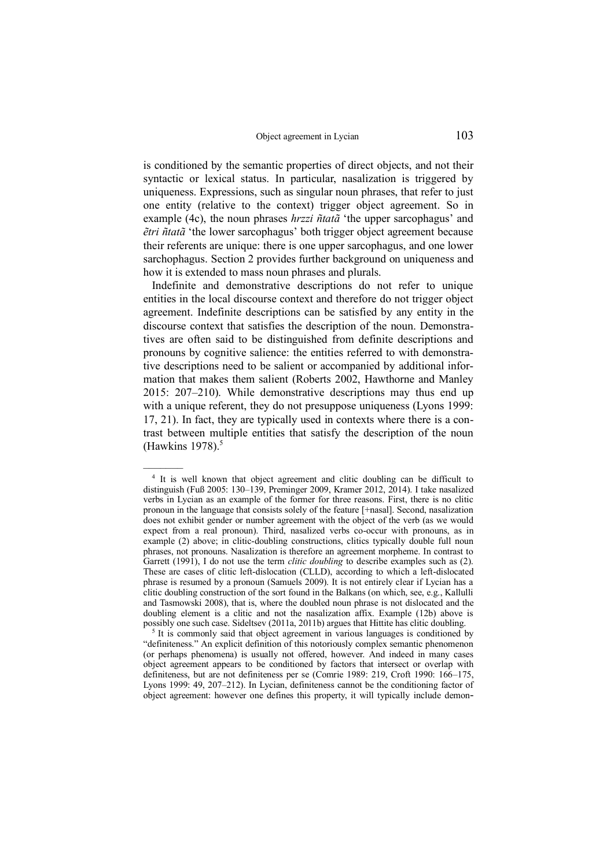is conditioned by the semantic properties of direct objects, and not their syntactic or lexical status. In particular, nasalization is triggered by uniqueness. Expressions, such as singular noun phrases, that refer to just one entity (relative to the context) trigger object agreement. So in example (4c), the noun phrases *hrzzi ñtatã* 'the upper sarcophagus' and *ẽtri ñtatã* 'the lower sarcophagus' both trigger object agreement because their referents are unique: there is one upper sarcophagus, and one lower sarchophagus. Section 2 provides further background on uniqueness and how it is extended to mass noun phrases and plurals.

Indefinite and demonstrative descriptions do not refer to unique entities in the local discourse context and therefore do not trigger object agreement. Indefinite descriptions can be satisfied by any entity in the discourse context that satisfies the description of the noun. Demonstratives are often said to be distinguished from definite descriptions and pronouns by cognitive salience: the entities referred to with demonstrative descriptions need to be salient or accompanied by additional information that makes them salient (Roberts 2002, Hawthorne and Manley 2015: 207–210). While demonstrative descriptions may thus end up with a unique referent, they do not presuppose uniqueness (Lyons 1999: 17, 21). In fact, they are typically used in contexts where there is a contrast between multiple entities that satisfy the description of the noun (Hawkins 1978). $5$ 

<sup>&</sup>lt;sup>4</sup> It is well known that object agreement and clitic doubling can be difficult to distinguish (Fuß 2005: 130–139, Preminger 2009, Kramer 2012, 2014). I take nasalized verbs in Lycian as an example of the former for three reasons. First, there is no clitic pronoun in the language that consists solely of the feature [+nasal]. Second, nasalization does not exhibit gender or number agreement with the object of the verb (as we would expect from a real pronoun). Third, nasalized verbs co-occur with pronouns, as in example (2) above; in clitic-doubling constructions, clitics typically double full noun phrases, not pronouns. Nasalization is therefore an agreement morpheme. In contrast to Garrett (1991), I do not use the term *clitic doubling* to describe examples such as (2). These are cases of clitic left-dislocation (CLLD), according to which a left-dislocated phrase is resumed by a pronoun (Samuels 2009). It is not entirely clear if Lycian has a clitic doubling construction of the sort found in the Balkans (on which, see, e.g., Kallulli and Tasmowski 2008), that is, where the doubled noun phrase is not dislocated and the doubling element is a clitic and not the nasalization affix. Example (12b) above is possibly one such case. Sideltsev (2011a, 2011b) argues that Hittite has clitic doubling.

<sup>&</sup>lt;sup>5</sup> It is commonly said that object agreement in various languages is conditioned by "definiteness." An explicit definition of this notoriously complex semantic phenomenon (or perhaps phenomena) is usually not offered, however. And indeed in many cases object agreement appears to be conditioned by factors that intersect or overlap with definiteness, but are not definiteness per se (Comrie 1989: 219, Croft 1990: 166–175, Lyons 1999: 49, 207–212). In Lycian, definiteness cannot be the conditioning factor of object agreement: however one defines this property, it will typically include demon-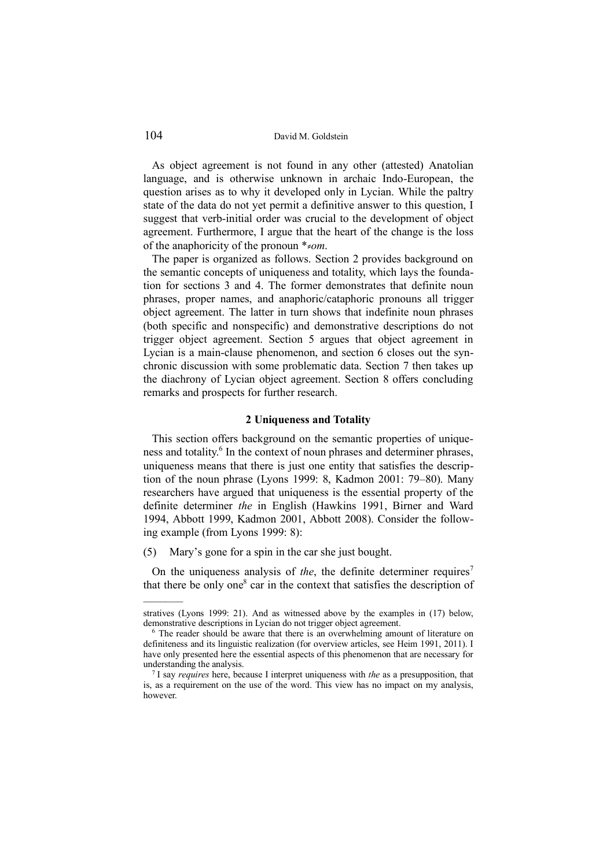As object agreement is not found in any other (attested) Anatolian language, and is otherwise unknown in archaic Indo-European, the question arises as to why it developed only in Lycian. While the paltry state of the data do not yet permit a definitive answer to this question, I suggest that verb-initial order was crucial to the development of object agreement. Furthermore, I argue that the heart of the change is the loss of the anaphoricity of the pronoun <sup>\*</sup>*≈om*.

The paper is organized as follows. Section 2 provides background on the semantic concepts of uniqueness and totality, which lays the foundation for sections 3 and 4. The former demonstrates that definite noun phrases, proper names, and anaphoric/cataphoric pronouns all trigger object agreement. The latter in turn shows that indefinite noun phrases (both specific and nonspecific) and demonstrative descriptions do not trigger object agreement. Section 5 argues that object agreement in Lycian is a main-clause phenomenon, and section 6 closes out the synchronic discussion with some problematic data. Section 7 then takes up the diachrony of Lycian object agreement. Section 8 offers concluding remarks and prospects for further research.

#### **2 Uniqueness and Totality**

This section offers background on the semantic properties of uniqueness and totality.<sup>6</sup> In the context of noun phrases and determiner phrases, uniqueness means that there is just one entity that satisfies the description of the noun phrase (Lyons 1999: 8, Kadmon 2001: 79–80). Many researchers have argued that uniqueness is the essential property of the definite determiner *the* in English (Hawkins 1991, Birner and Ward 1994, Abbott 1999, Kadmon 2001, Abbott 2008). Consider the following example (from Lyons 1999: 8):

(5) Mary's gone for a spin in the car she just bought.

On the uniqueness analysis of *the*, the definite determiner requires<sup>7</sup> that there be only one<sup>8</sup> car in the context that satisfies the description of

stratives (Lyons 1999: 21). And as witnessed above by the examples in (17) below, demonstrative descriptions in Lycian do not trigger object agreement.

<sup>&</sup>lt;sup>6</sup> The reader should be aware that there is an overwhelming amount of literature on definiteness and its linguistic realization (for overview articles, see Heim 1991, 2011). I have only presented here the essential aspects of this phenomenon that are necessary for understanding the analysis.

<sup>7</sup> I say *requires* here, because I interpret uniqueness with *the* as a presupposition, that is, as a requirement on the use of the word. This view has no impact on my analysis, however.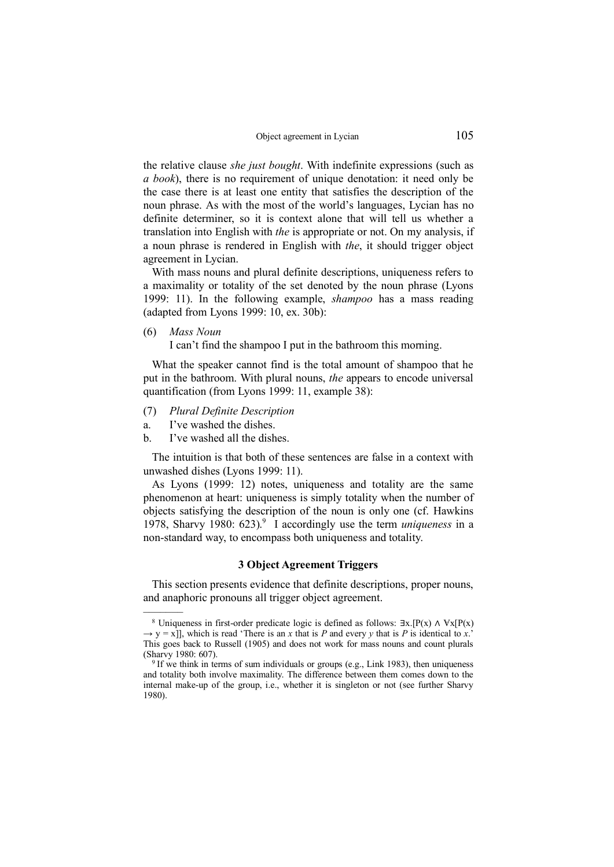the relative clause *she just bought*. With indefinite expressions (such as *a book*), there is no requirement of unique denotation: it need only be the case there is at least one entity that satisfies the description of the noun phrase. As with the most of the world's languages, Lycian has no definite determiner, so it is context alone that will tell us whether a translation into English with *the* is appropriate or not. On my analysis, if a noun phrase is rendered in English with *the*, it should trigger object agreement in Lycian.

With mass nouns and plural definite descriptions, uniqueness refers to a maximality or totality of the set denoted by the noun phrase (Lyons 1999: 11). In the following example, *shampoo* has a mass reading (adapted from Lyons 1999: 10, ex. 30b):

(6) *Mass Noun*

–––––––

I can't find the shampoo I put in the bathroom this morning.

What the speaker cannot find is the total amount of shampoo that he put in the bathroom. With plural nouns, *the* appears to encode universal quantification (from Lyons 1999: 11, example 38):

- (7) *Plural Definite Description*
- a. I've washed the dishes.
- b. I've washed all the dishes.

The intuition is that both of these sentences are false in a context with unwashed dishes (Lyons 1999: 11).

As Lyons (1999: 12) notes, uniqueness and totality are the same phenomenon at heart: uniqueness is simply totality when the number of objects satisfying the description of the noun is only one (cf. Hawkins 1978, Sharvy 1980: 623).<sup>9</sup> I accordingly use the term *uniqueness* in a non-standard way, to encompass both uniqueness and totality.

### **3 Object Agreement Triggers**

This section presents evidence that definite descriptions, proper nouns, and anaphoric pronouns all trigger object agreement.

<sup>&</sup>lt;sup>8</sup> Uniqueness in first-order predicate logic is defined as follows:  $\exists x.[P(x) \wedge \forall x[P(x)]$  $\rightarrow$  y = x]], which is read 'There is an *x* that is *P* and every *y* that is *P* is identical to *x*.' This goes back to Russell (1905) and does not work for mass nouns and count plurals (Sharvy 1980: 607).

<sup>&</sup>lt;sup>9</sup> If we think in terms of sum individuals or groups (e.g., Link 1983), then uniqueness and totality both involve maximality. The difference between them comes down to the internal make-up of the group, i.e., whether it is singleton or not (see further Sharvy 1980).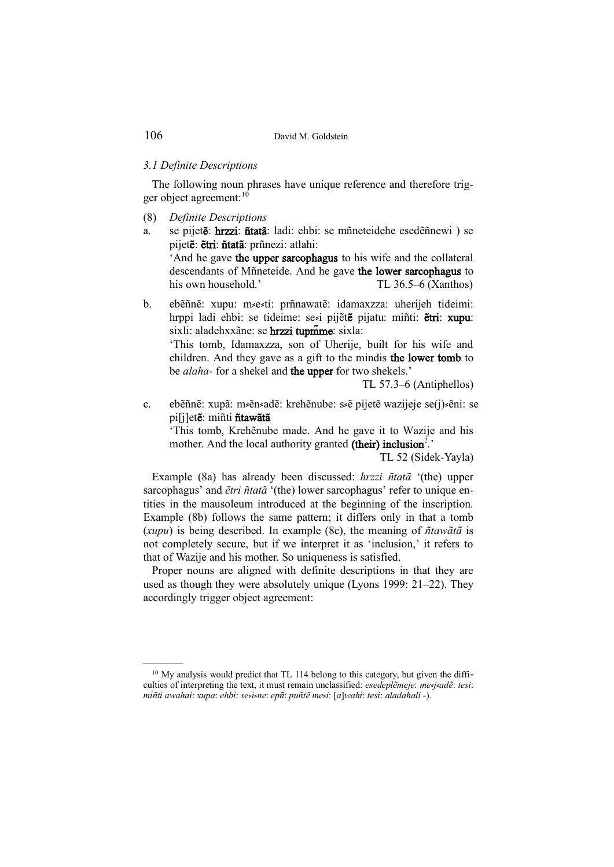### *3.1 Definite Descriptions*

The following noun phrases have unique reference and therefore trigger object agreement:<sup>10</sup>

- (8) *Definite Descriptions*
- a. se pijetẽ: hrzzi: ñtatã: ladi: ehbi: se mñneteidehe esedẽñnewi ) se pijetẽ: ẽtri: ñtatã: prñnezi: atlahi:

'And he gave the upper sarcophagus to his wife and the collateral descendants of Mñneteide. And he gave the lower sarcophagus to his own household.' TL 36.5–6 (Xanthos)

b. ebẽñnẽ: xupu: m⸗e⸗ti: prñnawatẽ: idamaxzza: uherijeh tideimi: hrppi ladi ehbi: se tideime: sezi pijete pijatu: miñti: etri: xupu: sixli: aladehxxãne: se hrzzi tupm̃me: sixla:

'This tomb, Idamaxzza, son of Uherije, built for his wife and children. And they gave as a gift to the mindis the lower tomb to be *alaha*- for a shekel and the upper for two shekels.'

TL 57.3–6 (Antiphellos)

c. ebẽñnẽ: xupã: mzenzadẽ: krehẽnube: szẽ pijetẽ wazijeje se(j) zeni: se pi[j]etẽ: miñti ñtawãtã

'This tomb, Krehẽnube made. And he gave it to Wazije and his mother. And the local authority granted (their) inclusion<sup>?</sup>.'

TL 52 (Sidek-Yayla)

Example (8a) has already been discussed: *hrzzi ñtatã* '(the) upper sarcophagus' and *ẽtri ñtatã* '(the) lower sarcophagus' refer to unique entities in the mausoleum introduced at the beginning of the inscription. Example (8b) follows the same pattern; it differs only in that a tomb (*xupu*) is being described. In example (8c), the meaning of *ñtawãtã* is not completely secure, but if we interpret it as 'inclusion,' it refers to that of Wazije and his mother. So uniqueness is satisfied.

Proper nouns are aligned with definite descriptions in that they are used as though they were absolutely unique (Lyons 1999: 21–22). They accordingly trigger object agreement:

<sup>&</sup>lt;sup>10</sup> My analysis would predict that TL 114 belong to this category, but given the difficulties of interpreting the text, it must remain unclassified: *esedeplẽmeje*: *me*⸗*j*⸗*adẽ*: *tesi*: *miñti awahai*: *xupa*: *ehbi*: *se*⸗*i*⸗*ne*: *epñ*: *puñtẽ me*⸗*i*: [*a*]*wahi*: *tesi*: *aladahali* -).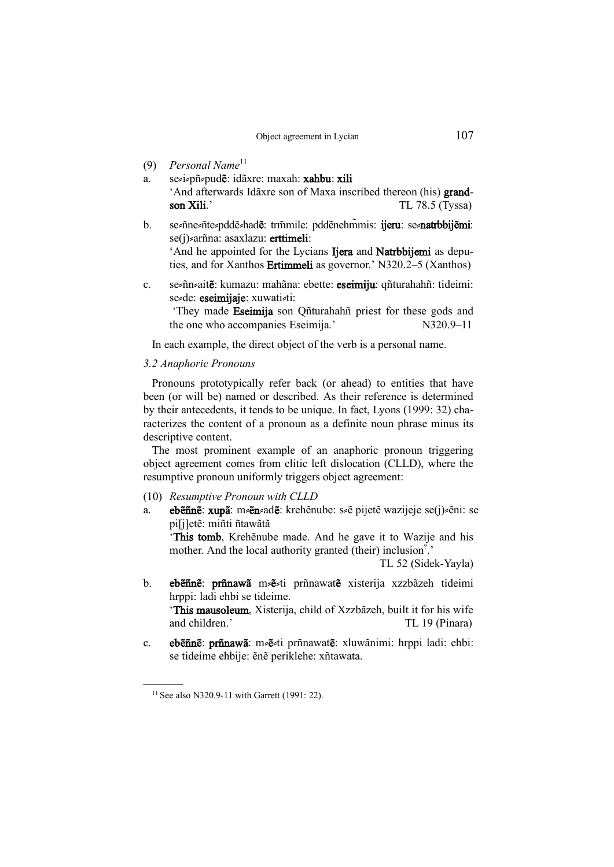- (9) *Personal Name*<sup>11</sup>
- a. se i pñ pud**ě**: idãxre: maxah: xahbu: xili 'And afterwards Idãxre son of Maxa inscribed thereon (his) grandson Xili.' TL 78.5 (Tyssa)
- b. se=ñne=ñte=pddẽ=had**e**: trmile: pddẽnehm̃mis: ijeru: se=natrbbijẽmi: se(j) arñna: asaxlazu: erttimeli: 'And he appointed for the Lycians Ijera and Natrbbijemi as depu-

ties, and for Xanthos Ertimmeli as governor.' N320.2–5 (Xanthos)

c. se≠ñn≠ait**ẽ**: kumazu: mahãna: ebette: eseimiju: qñturahahñ: tideimi: se=de: eseimijaje: xuwati=ti:

'They made Eseimija son Qñturahahñ priest for these gods and the one who accompanies Eseimija.' N320.9–11

In each example, the direct object of the verb is a personal name.

#### *3.2 Anaphoric Pronouns*

Pronouns prototypically refer back (or ahead) to entities that have been (or will be) named or described. As their reference is determined by their antecedents, it tends to be unique. In fact, Lyons (1999: 32) characterizes the content of a pronoun as a definite noun phrase minus its descriptive content.

The most prominent example of an anaphoric pronoun triggering object agreement comes from clitic left dislocation (CLLD), where the resumptive pronoun uniformly triggers object agreement:

- (10) *Resumptive Pronoun with CLLD*
- a. eb**ẽñnẽ: xupã:** m<sup>2</sup>ẽn2adẽ: krehẽnube: s<sup>2</sup>ẽ pijetẽ wazijeje se(j)<sup>2</sup>ẽni: se pi[j]etẽ: miñti ñtawãtã

'This tomb, Krehẽnube made. And he gave it to Wazije and his mother. And the local authority granted (their) inclusion<sup>?</sup>.

TL 52 (Sidek-Yayla)

b. eb**ẽñnẽ**: prñnawã mzezti prñnawat**ẽ** xisterija xzzbãzeh tideimi hrppi: ladi ehbi se tideime.

'This mausoleum, Xisterija, child of Xzzbãzeh, built it for his wife and children.' TL 19 (Pinara)

c. ebẽñnẽ: prñnawã: mzezti prñnawatẽ: xluwãnimi: hrppi ladi: ehbi: se tideime ehbije: ẽnẽ periklehe: xñtawata.

<sup>11</sup> See also N320.9-11 with Garrett (1991: 22).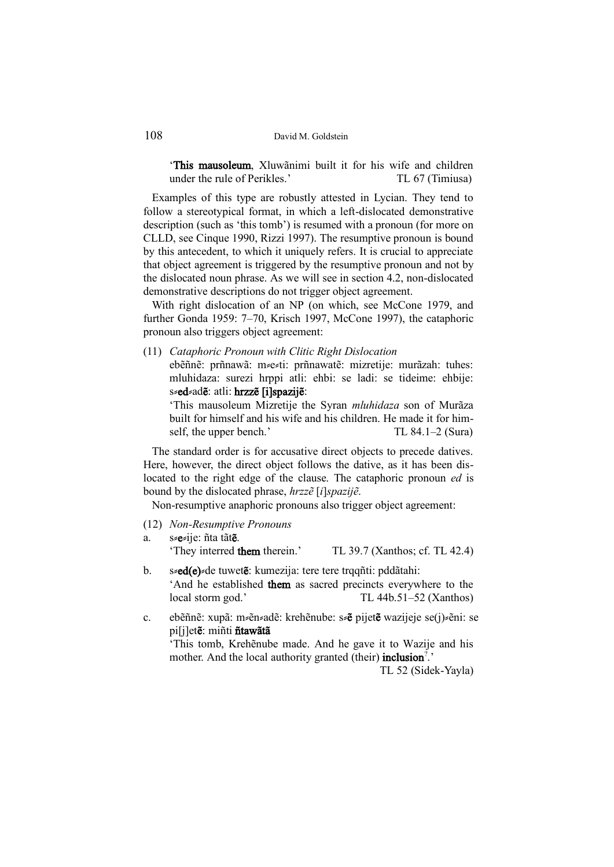'This mausoleum, Xluwãnimi built it for his wife and children under the rule of Perikles.' TL 67 (Timiusa)

Examples of this type are robustly attested in Lycian. They tend to follow a stereotypical format, in which a left-dislocated demonstrative description (such as 'this tomb') is resumed with a pronoun (for more on CLLD, see Cinque 1990, Rizzi 1997). The resumptive pronoun is bound by this antecedent, to which it uniquely refers. It is crucial to appreciate that object agreement is triggered by the resumptive pronoun and not by the dislocated noun phrase. As we will see in section 4.2, non-dislocated demonstrative descriptions do not trigger object agreement.

With right dislocation of an NP (on which, see McCone 1979, and further Gonda 1959: 7–70, Krisch 1997, McCone 1997), the cataphoric pronoun also triggers object agreement:

(11) *Cataphoric Pronoun with Clitic Right Dislocation* ebẽñnẽ: prñnawã: m⸗e⸗ti: prñnawatẽ: mizretije: murãzah: tuhes: mluhidaza: surezi hrppi atli: ehbi: se ladi: se tideime: ehbije: s **ed** adë: atli: hrzzë [i]spazijë:

'This mausoleum Mizretije the Syran *mluhidaza* son of Murãza built for himself and his wife and his children. He made it for himself, the upper bench.' TL 84.1–2 (Sura)

The standard order is for accusative direct objects to precede datives. Here, however, the direct object follows the dative, as it has been dislocated to the right edge of the clause. The cataphoric pronoun *ed* is bound by the dislocated phrase, *hrzzẽ* [*i*]*spazijẽ*.

Non-resumptive anaphoric pronouns also trigger object agreement:

(12) *Non-Resumptive Pronouns* a. s≠e≠ije: ñta tãt**ẽ**.

'They interred them therein.' TL 39.7 (Xanthos; cf. TL 42.4)

- b. s**ed(e)** de tuwet**ẽ**: kumezija: tere tere trqqñti: pddãtahi: 'And he established them as sacred precincts everywhere to the local storm god.' TL 44b.51–52 (Xanthos)
- c. ebẽñnẽ: xupã: m¤ẽn≥adẽ: krehẽnube: s≠ẽ pijetẽ wazijeje se(j)≥ẽni: se pi[j]etẽ: miñti ñtawãtã

'This tomb, Krehẽnube made. And he gave it to Wazije and his mother. And the local authority granted (their) inclusion<sup>?</sup>.'

TL 52 (Sidek-Yayla)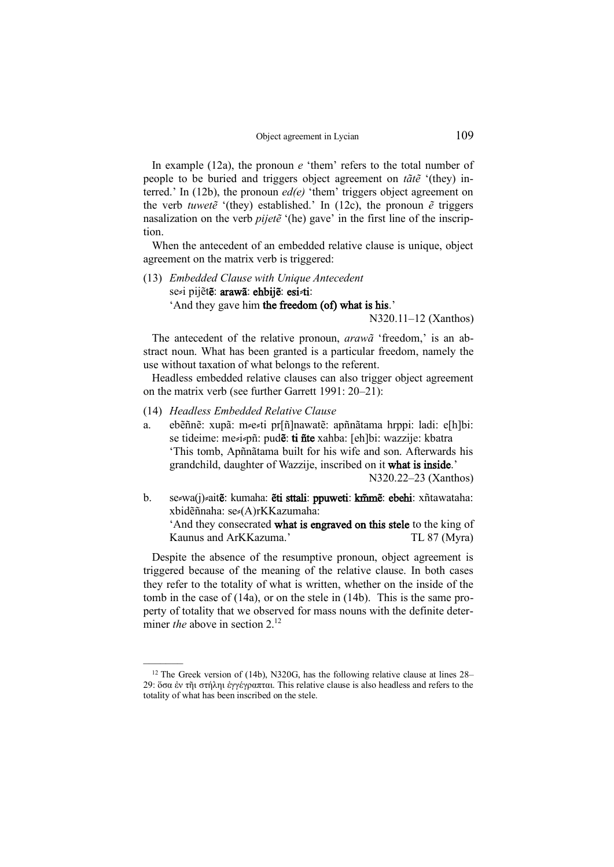In example (12a), the pronoun *e* 'them' refers to the total number of people to be buried and triggers object agreement on *tãtẽ* '(they) interred.' In (12b), the pronoun *ed(e)* 'them' triggers object agreement on the verb *tuwetẽ* '(they) established.' In (12c), the pronoun *ẽ* triggers nasalization on the verb *pijetẽ* '(he) gave' in the first line of the inscription.

When the antecedent of an embedded relative clause is unique, object agreement on the matrix verb is triggered:

(13) *Embedded Clause with Unique Antecedent* sezi pijẽtẽ: arawã: ehbijẽ: esizti: 'And they gave him the freedom (of) what is his.'

N320.11–12 (Xanthos)

The antecedent of the relative pronoun, *arawã* 'freedom,' is an abstract noun. What has been granted is a particular freedom, namely the use without taxation of what belongs to the referent.

Headless embedded relative clauses can also trigger object agreement on the matrix verb (see further Garrett 1991: 20–21):

(14) *Headless Embedded Relative Clause*

–––––––

a. ebẽñnẽ: xupã: m e ti pr[ñ]nawatẽ: apñnãtama hrppi: ladi: e[h]bi: se tideime: mezizpñ: pud**ẽ: ti ñte** xahba: [eh]bi: wazzije: kbatra 'This tomb, Apñnãtama built for his wife and son. Afterwards his grandchild, daughter of Wazzije, inscribed on it what is inside.'

N320.22–23 (Xanthos)

b. sezwa(j)zait**ẽ:** kumaha: **ẽti sttali: ppuweti: km̃mẽ: ebehi:** xñtawataha: xbidẽñnaha: se⸗(A)rKKazumaha:

'And they consecrated what is engraved on this stele to the king of Kaunus and ArKKazuma.' TL 87 (Myra)

Despite the absence of the resumptive pronoun, object agreement is triggered because of the meaning of the relative clause. In both cases they refer to the totality of what is written, whether on the inside of the tomb in the case of (14a), or on the stele in (14b). This is the same property of totality that we observed for mass nouns with the definite determiner *the* above in section 2.<sup>12</sup>

<sup>&</sup>lt;sup>12</sup> The Greek version of (14b), N320G, has the following relative clause at lines 28– 29: ὅσα ἐν τῆι στήληι ἐγγέγραπται. This relative clause is also headless and refers to the totality of what has been inscribed on the stele.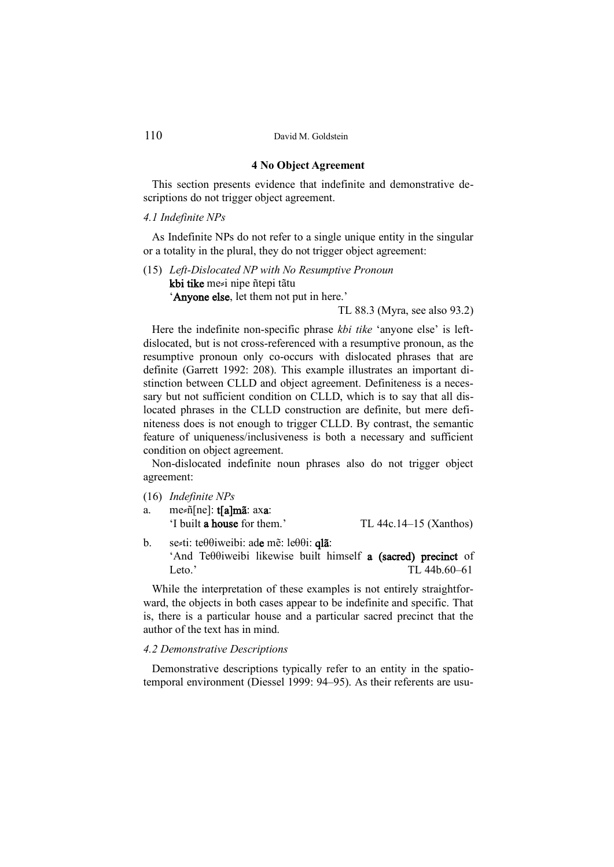# **4 No Object Agreement**

This section presents evidence that indefinite and demonstrative descriptions do not trigger object agreement.

#### *4.1 Indefinite NPs*

As Indefinite NPs do not refer to a single unique entity in the singular or a totality in the plural, they do not trigger object agreement:

(15) *Left-Dislocated NP with No Resumptive Pronoun* kbi tike me⸗i nipe ñtepi tãtu 'Anyone else, let them not put in here.'

TL 88.3 (Myra, see also 93.2)

Here the indefinite non-specific phrase *kbi tike* 'anyone else' is leftdislocated, but is not cross-referenced with a resumptive pronoun, as the resumptive pronoun only co-occurs with dislocated phrases that are definite (Garrett 1992: 208). This example illustrates an important distinction between CLLD and object agreement. Definiteness is a necessary but not sufficient condition on CLLD, which is to say that all dislocated phrases in the CLLD construction are definite, but mere definiteness does is not enough to trigger CLLD. By contrast, the semantic feature of uniqueness/inclusiveness is both a necessary and sufficient condition on object agreement.

Non-dislocated indefinite noun phrases also do not trigger object agreement:

- (16) *Indefinite NPs*
- a. me=ñ[ne]: t[a]mã: axa: 'I built a house for them.' TL 44c.14–15 (Xanthos)

b. se $\leq$ ti: teθ $\theta$ iweibi: ade mẽ: leθ $\theta$ i: qlã: 'And Teθθiweibi likewise built himself a (sacred) precinct of Leto.' TL 44b.60–61

While the interpretation of these examples is not entirely straightforward, the objects in both cases appear to be indefinite and specific. That is, there is a particular house and a particular sacred precinct that the author of the text has in mind.

#### *4.2 Demonstrative Descriptions*

Demonstrative descriptions typically refer to an entity in the spatiotemporal environment (Diessel 1999: 94–95). As their referents are usu-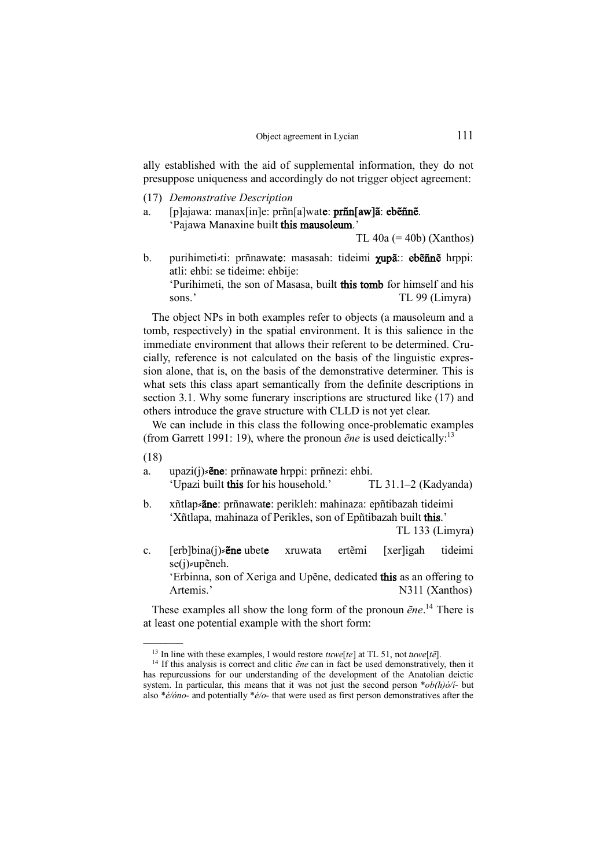ally established with the aid of supplemental information, they do not presuppose uniqueness and accordingly do not trigger object agreement:

- (17) *Demonstrative Description*
- a. [p]ajawa: manax[in]e: prñn[a]wate: prñn[aw]ã: ebẽñnẽ. 'Pajawa Manaxine built this mausoleum.'

TL 40a  $(= 40b)$  (Xanthos)

b. purihimeti ti: prñnawate: masasah: tideimi χupã:: ebẽñnẽ hrppi: atli: ehbi: se tideime: ehbije:

'Purihimeti, the son of Masasa, built this tomb for himself and his sons.' TL 99 (Limyra)

The object NPs in both examples refer to objects (a mausoleum and a tomb, respectively) in the spatial environment. It is this salience in the immediate environment that allows their referent to be determined. Crucially, reference is not calculated on the basis of the linguistic expression alone, that is, on the basis of the demonstrative determiner. This is what sets this class apart semantically from the definite descriptions in section 3.1. Why some funerary inscriptions are structured like (17) and others introduce the grave structure with CLLD is not yet clear.

We can include in this class the following once-problematic examples (from Garrett 1991: 19), where the pronoun *ẽne* is used deictically:<sup>13</sup>

(18)

–––––––

- a. upazi $(j) \neq \text{ene: } p \text{rñnawate hrppi: } p \text{rñnezi: } e \text{hbi.}$ 'Upazi built this for his household.' TL 31.1–2 (Kadyanda)
- b. xñtlap=ane: prñnawate: perikleh: mahinaza: epñtibazah tideimi 'Xñtlapa, mahinaza of Perikles, son of Epñtibazah built this.'

TL 133 (Limyra)

- c. [erb]bina(j)  $\epsilon$ **ne** ubete xruwata ertẽmi [xer]igah tideimi se(j) *s*upẽneh.
	- 'Erbinna, son of Xeriga and Upẽne, dedicated this as an offering to Artemis.' N311 (Xanthos)

These examples all show the long form of the pronoun *ẽne*. <sup>14</sup> There is at least one potential example with the short form:

<sup>13</sup> In line with these examples, I would restore *tuwe*[*te*] at TL 51, not *tuwe*[*tẽ*].

<sup>14</sup> If this analysis is correct and clitic *ẽne* can in fact be used demonstratively, then it has repurcussions for our understanding of the development of the Anatolian deictic system. In particular, this means that it was not just the second person \**ob(h)ó/í*- but also \**é/óno*- and potentially \**é/o*- that were used as first person demonstratives after the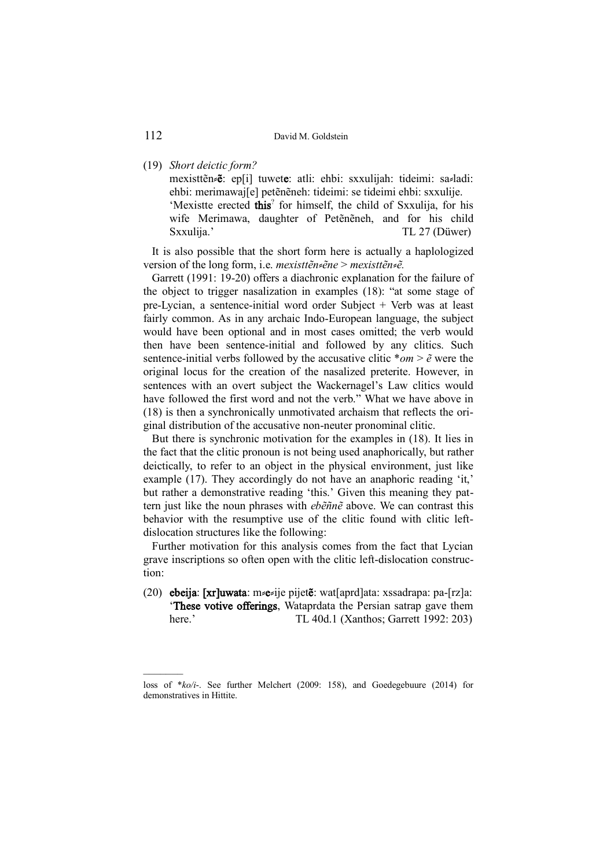(19) *Short deictic form?*

mexisttẽn≠ẽ: ep[i] tuwete: atli: ehbi: sxxulijah: tideimi: sa≠ladi: ehbi: merimawaj[e] petẽnẽneh: tideimi: se tideimi ehbi: sxxulije. 'Mexistte erected this<sup>2</sup> for himself, the child of Sxxulija, for his wife Merimawa, daughter of Petẽnẽneh, and for his child Sxxulija.' TL 27 (Düwer)

It is also possible that the short form here is actually a haplologized version of the long form, i.e. *mexisttẽn*⸗*ẽne* > *mexisttẽn*⸗*ẽ.* 

Garrett (1991: 19-20) offers a diachronic explanation for the failure of the object to trigger nasalization in examples (18): "at some stage of pre-Lycian, a sentence-initial word order Subject + Verb was at least fairly common. As in any archaic Indo-European language, the subject would have been optional and in most cases omitted; the verb would then have been sentence-initial and followed by any clitics. Such sentence-initial verbs followed by the accusative clitic  $*$ *om*  $>$   $\tilde{e}$  were the original locus for the creation of the nasalized preterite. However, in sentences with an overt subject the Wackernagel's Law clitics would have followed the first word and not the verb." What we have above in (18) is then a synchronically unmotivated archaism that reflects the original distribution of the accusative non-neuter pronominal clitic.

But there is synchronic motivation for the examples in (18). It lies in the fact that the clitic pronoun is not being used anaphorically, but rather deictically, to refer to an object in the physical environment, just like example (17). They accordingly do not have an anaphoric reading 'it,' but rather a demonstrative reading 'this.' Given this meaning they pattern just like the noun phrases with *ebẽñnẽ* above. We can contrast this behavior with the resumptive use of the clitic found with clitic leftdislocation structures like the following:

Further motivation for this analysis comes from the fact that Lycian grave inscriptions so often open with the clitic left-dislocation construction:

(20) ebeija: [xr]uwata: m  $\epsilon_i$ ije pijetẽ: wat[aprd]ata: xssadrapa: pa-[rz]a: 'These votive offerings, Wataprdata the Persian satrap gave them here.' TL 40d.1 (Xanthos; Garrett 1992: 203)

loss of \**ko/i*-. See further Melchert (2009: 158), and Goedegebuure (2014) for demonstratives in Hittite.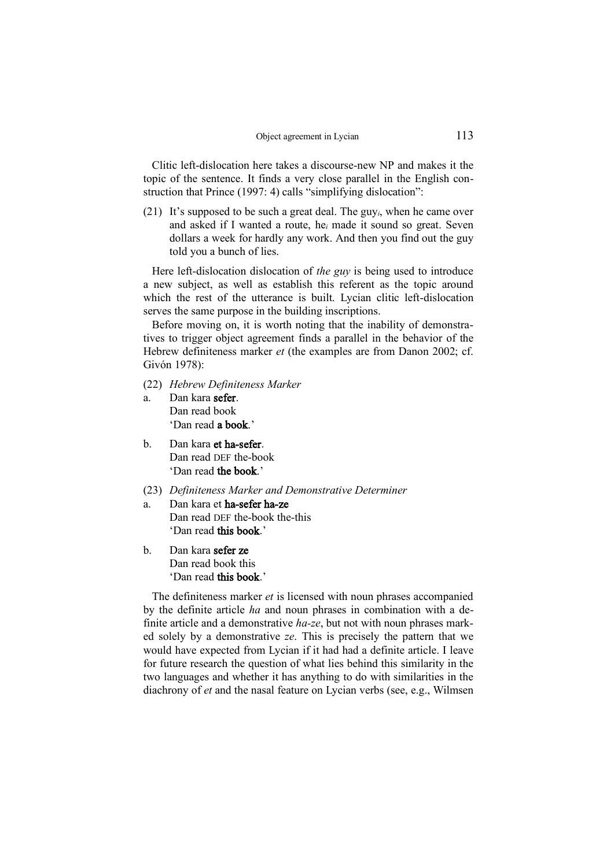Clitic left-dislocation here takes a discourse-new NP and makes it the topic of the sentence. It finds a very close parallel in the English construction that Prince (1997: 4) calls "simplifying dislocation":

(21) It's supposed to be such a great deal. The guy*i*, when he came over and asked if I wanted a route, he*<sup>i</sup>* made it sound so great. Seven dollars a week for hardly any work. And then you find out the guy told you a bunch of lies.

Here left-dislocation dislocation of *the guy* is being used to introduce a new subject, as well as establish this referent as the topic around which the rest of the utterance is built. Lycian clitic left-dislocation serves the same purpose in the building inscriptions.

Before moving on, it is worth noting that the inability of demonstratives to trigger object agreement finds a parallel in the behavior of the Hebrew definiteness marker *et* (the examples are from Danon 2002; cf. Givón 1978):

- (22) *Hebrew Definiteness Marker*
- a. Dan kara sefer. Dan read book 'Dan read a book.'
- b. Dan kara et ha-sefer. Dan read DEF the-book 'Dan read the book.'
- (23) *Definiteness Marker and Demonstrative Determiner*
- a. Dan kara et ha-sefer ha-ze Dan read DEF the-book the-this 'Dan read this book.'
- b. Dan kara sefer ze Dan read book this 'Dan read this book.'

The definiteness marker *et* is licensed with noun phrases accompanied by the definite article *ha* and noun phrases in combination with a definite article and a demonstrative *ha-ze*, but not with noun phrases marked solely by a demonstrative *ze*. This is precisely the pattern that we would have expected from Lycian if it had had a definite article. I leave for future research the question of what lies behind this similarity in the two languages and whether it has anything to do with similarities in the diachrony of *et* and the nasal feature on Lycian verbs (see, e.g., Wilmsen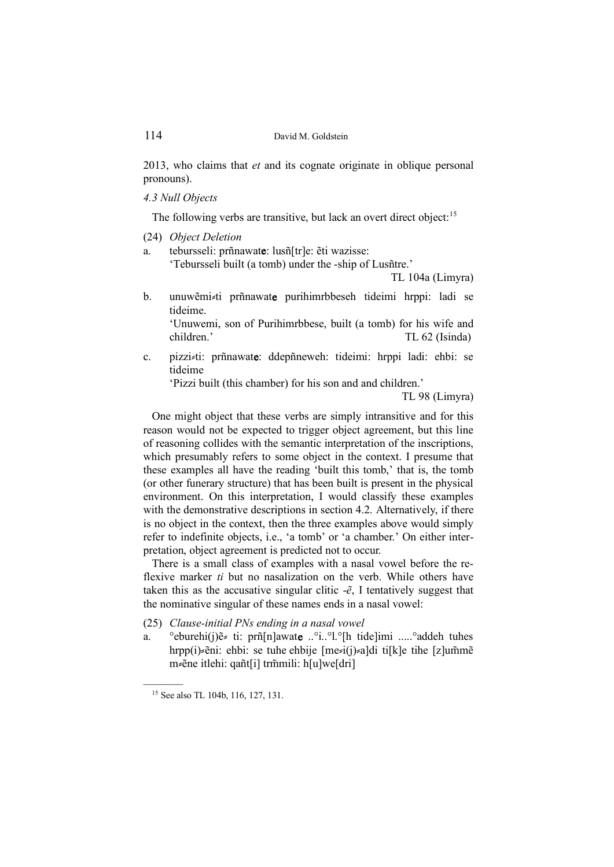2013, who claims that *et* and its cognate originate in oblique personal pronouns).

*4.3 Null Objects* 

The following verbs are transitive, but lack an overt direct object:<sup>15</sup>

- (24) *Object Deletion*
- a. tebursseli: prñnawate: lusñ[tr]e: ẽti wazisse:

'Tebursseli built (a tomb) under the -ship of Lusñtre.'

TL 104a (Limyra)

b. unuwẽmi≠ti prñnawate purihimrbbeseh tideimi hrppi: ladi se tideime.

'Unuwemi, son of Purihimrbbese, built (a tomb) for his wife and children.' TL 62 (Isinda)

c. pizzi ti: prñnawate: ddepñneweh: tideimi: hrppi ladi: ehbi: se tideime

'Pizzi built (this chamber) for his son and and children.'

TL 98 (Limyra)

One might object that these verbs are simply intransitive and for this reason would not be expected to trigger object agreement, but this line of reasoning collides with the semantic interpretation of the inscriptions, which presumably refers to some object in the context. I presume that these examples all have the reading 'built this tomb,' that is, the tomb (or other funerary structure) that has been built is present in the physical environment. On this interpretation, I would classify these examples with the demonstrative descriptions in section 4.2. Alternatively, if there is no object in the context, then the three examples above would simply refer to indefinite objects, i.e., 'a tomb' or 'a chamber.' On either interpretation, object agreement is predicted not to occur.

There is a small class of examples with a nasal vowel before the reflexive marker *ti* but no nasalization on the verb. While others have taken this as the accusative singular clitic  $-\tilde{e}$ , I tentatively suggest that the nominative singular of these names ends in a nasal vowel:

- (25) *Clause-initial PNs ending in a nasal vowel*
- a. °eburehi(j)ẽ≤ ti: prñ[n]awate ..°i..°l.°[h tide]imi .....°addeh tuhes hrpp(i) $\epsilon$ ěni: ehbi: se tuhe ehbije [me $\epsilon$ i(j) $\epsilon$ a]di ti[k]e tihe [z]um̃mẽ m <sup>≠</sup> ĕne itlehi: qañt[i] trmili: h[u]we[dri]

<sup>15</sup> See also TL 104b, 116, 127, 131.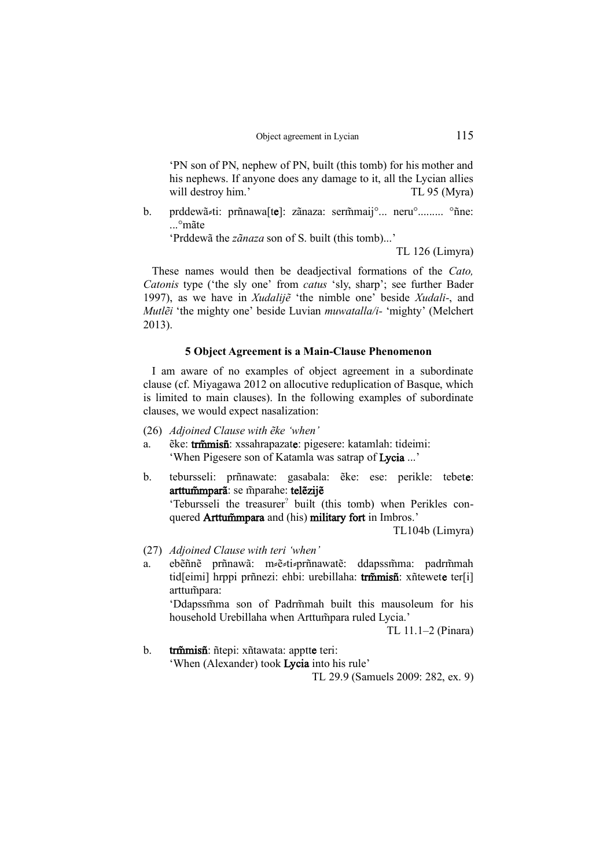'PN son of PN, nephew of PN, built (this tomb) for his mother and his nephews. If anyone does any damage to it, all the Lycian allies will destroy him.' TL 95 (Myra)

b. prddewã zi: prñnawa<sup>[te]</sup>: zãnaza: serm̃maij°... neru°......... °ñne: ...°mãte

'Prddewã the *zãnaza* son of S. built (this tomb)...'

TL 126 (Limyra)

These names would then be deadjectival formations of the *Cato, Catonis* type ('the sly one' from *catus* 'sly, sharp'; see further Bader 1997), as we have in *Xudalijẽ* 'the nimble one' beside *Xudali-*, and *Mutlẽi* 'the mighty one' beside Luvian *muwatalla/i-* 'mighty' (Melchert 2013).

#### **5 Object Agreement is a Main-Clause Phenomenon**

I am aware of no examples of object agreement in a subordinate clause (cf. Miyagawa 2012 on allocutive reduplication of Basque, which is limited to main clauses). In the following examples of subordinate clauses, we would expect nasalization:

(26) *Adjoined Clause with ẽke 'when'*

- a. ěke: trmisniche: xssahrapazate: pigesere: katamlah: tideimi: 'When Pigesere son of Katamla was satrap of Lycia ...'
- b. tebursseli: prñnawate: gasabala: ẽke: ese: perikle: tebete: arttummparã: se mparahe: telezije

'Tebursseli the treasurer? built (this tomb) when Perikles conquered **Arttum** mpara and (his) military fort in Imbros.'

TL104b (Limyra)

- (27) *Adjoined Clause with teri 'when'*
- a. ebẽñnẽ prñnawã: mzeztizprñnawatẽ: ddapssmma: padrm̃mah tid[eimi] hrppi prñnezi: ehbi: urebillaha: trmmisñ: xñtewete ter[i] arttumpara:

'Ddapssmma son of Padrmmah built this mausoleum for his household Urebillaha when Arttum para ruled Lycia.'

TL 11.1–2 (Pinara)

b. trmmisn: ñtepi: xñtawata: apptte teri: 'When (Alexander) took Lycia into his rule' TL 29.9 (Samuels 2009: 282, ex. 9)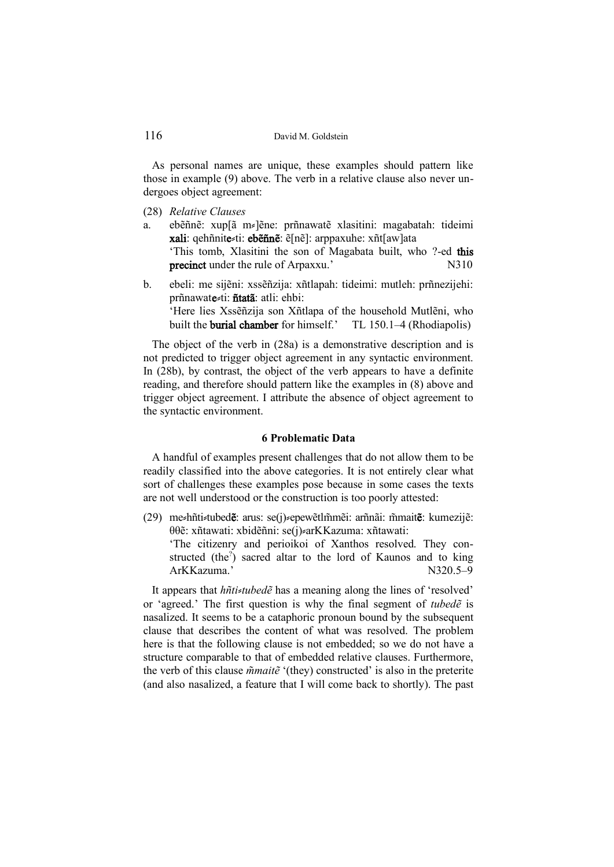As personal names are unique, these examples should pattern like those in example (9) above. The verb in a relative clause also never undergoes object agreement:

- (28) *Relative Clauses*
- a. ebẽñnẽ: xup[ã m⸗]ẽne: prñnawatẽ xlasitini: magabatah: tideimi xali: qehñnite≠ti: ebẽñnẽ: ẽ[nẽ]: arppaxuhe: xñt[aw]ata 'This tomb, Xlasitini the son of Magabata built, who ?-ed this precinct under the rule of Arpaxxu.' N310
- b. ebeli: me sijẽni: xssẽñzija: xñtlapah: tideimi: mutleh: prñnezijehi: prñnawate⸗ti: ñtatã: atli: ehbi: 'Here lies Xssẽñzija son Xñtlapa of the household Mutlẽni, who built the **burial chamber** for himself.' TL 150.1–4 (Rhodiapolis)

The object of the verb in (28a) is a demonstrative description and is not predicted to trigger object agreement in any syntactic environment. In (28b), by contrast, the object of the verb appears to have a definite reading, and therefore should pattern like the examples in (8) above and trigger object agreement. I attribute the absence of object agreement to the syntactic environment.

#### **6 Problematic Data**

A handful of examples present challenges that do not allow them to be readily classified into the above categories. It is not entirely clear what sort of challenges these examples pose because in some cases the texts are not well understood or the construction is too poorly attested:

(29) me≠hñti≠tubed**ẽ**: arus: se(j)≠epewẽtlm̃mẽi: arñnãi: m̃mait**ẽ**: kumezijẽ: θθẽ: xñtawati: xbidẽñni: se(j) arKKazuma: xñtawati:

'The citizenry and perioikoi of Xanthos resolved. They constructed (the<sup>2</sup>) sacred altar to the lord of Kaunos and to king ArKKazuma.' N320.5–9

It appears that *hñti* $\ni$ *tubed* $\tilde{e}$  has a meaning along the lines of 'resolved' or 'agreed.' The first question is why the final segment of *tubedẽ* is nasalized. It seems to be a cataphoric pronoun bound by the subsequent clause that describes the content of what was resolved. The problem here is that the following clause is not embedded; so we do not have a structure comparable to that of embedded relative clauses. Furthermore, the verb of this clause  $\tilde{m}$ *mait* $\tilde{e}$  '(they) constructed' is also in the preterite (and also nasalized, a feature that I will come back to shortly). The past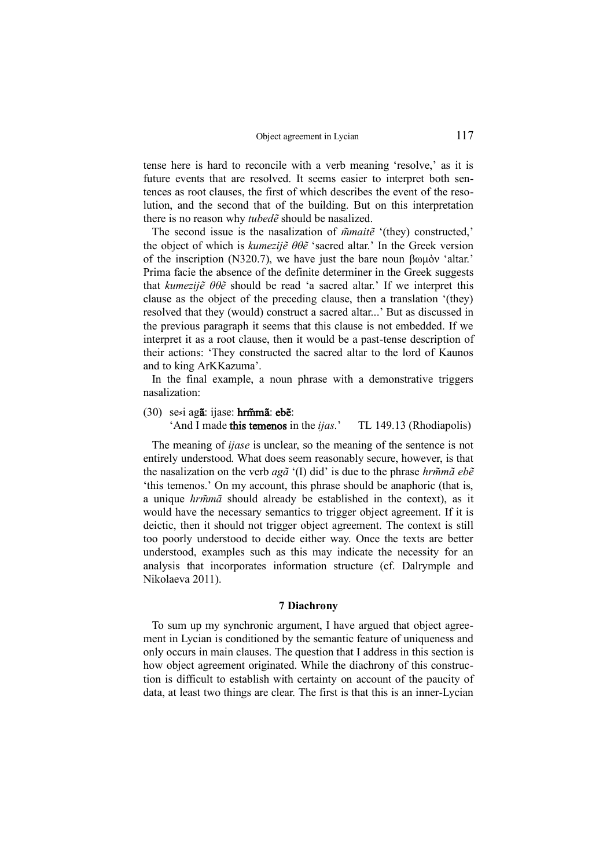tense here is hard to reconcile with a verb meaning 'resolve,' as it is future events that are resolved. It seems easier to interpret both sentences as root clauses, the first of which describes the event of the resolution, and the second that of the building. But on this interpretation there is no reason why *tubedẽ* should be nasalized.

The second issue is the nasalization of  $\tilde{m}$ *mait* $\tilde{e}$  '(they) constructed,' the object of which is *kumezijẽ θθẽ* 'sacred altar.' In the Greek version of the inscription (N320.7), we have just the bare noun βωμόν 'altar.' Prima facie the absence of the definite determiner in the Greek suggests that *kumezijẽ θθẽ* should be read 'a sacred altar.' If we interpret this clause as the object of the preceding clause, then a translation '(they) resolved that they (would) construct a sacred altar...' But as discussed in the previous paragraph it seems that this clause is not embedded. If we interpret it as a root clause, then it would be a past-tense description of their actions: 'They constructed the sacred altar to the lord of Kaunos and to king ArKKazuma'.

In the final example, a noun phrase with a demonstrative triggers nasalization:

#### (30) se⸗i agã: ijase: hrmã: ebẽ:

# 'And I made this temenos in the *ijas*.' TL 149.13 (Rhodiapolis)

The meaning of *ijase* is unclear, so the meaning of the sentence is not entirely understood. What does seem reasonably secure, however, is that the nasalization on the verb *agã* '(I) did' is due to the phrase *hrmã ebẽ*  'this temenos.' On my account, this phrase should be anaphoric (that is, a unique *hrmã* should already be established in the context), as it would have the necessary semantics to trigger object agreement. If it is deictic, then it should not trigger object agreement. The context is still too poorly understood to decide either way. Once the texts are better understood, examples such as this may indicate the necessity for an analysis that incorporates information structure (cf. Dalrymple and Nikolaeva 2011).

### **7 Diachrony**

To sum up my synchronic argument, I have argued that object agreement in Lycian is conditioned by the semantic feature of uniqueness and only occurs in main clauses. The question that I address in this section is how object agreement originated. While the diachrony of this construction is difficult to establish with certainty on account of the paucity of data, at least two things are clear. The first is that this is an inner-Lycian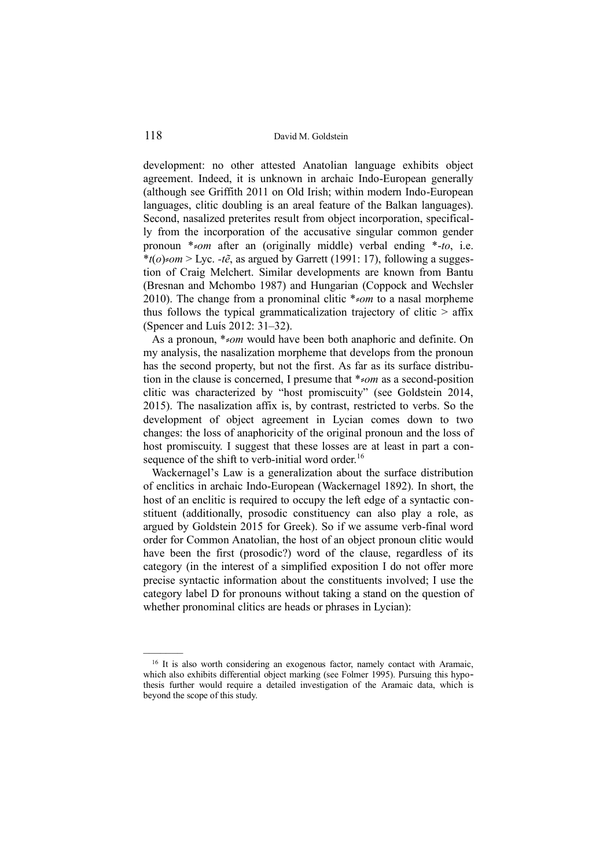development: no other attested Anatolian language exhibits object agreement. Indeed, it is unknown in archaic Indo-European generally (although see Griffith 2011 on Old Irish; within modern Indo-European languages, clitic doubling is an areal feature of the Balkan languages). Second, nasalized preterites result from object incorporation, specifically from the incorporation of the accusative singular common gender pronoun \*⸗*om* after an (originally middle) verbal ending \*-*to*, i.e.  $*(o) \leq om$  > Lyc. *-tẽ*, as argued by Garrett (1991: 17), following a suggestion of Craig Melchert. Similar developments are known from Bantu (Bresnan and Mchombo 1987) and Hungarian (Coppock and Wechsler 2010). The change from a pronominal clitic <sup>\*</sup>≠*om* to a nasal morpheme thus follows the typical grammaticalization trajectory of clitic  $>$  affix (Spencer and Luís 2012: 31–32).

As a pronoun, \**\*om* would have been both anaphoric and definite. On my analysis, the nasalization morpheme that develops from the pronoun has the second property, but not the first. As far as its surface distribution in the clause is concerned. I presume that \**>om* as a second-position clitic was characterized by "host promiscuity" (see Goldstein 2014, 2015). The nasalization affix is, by contrast, restricted to verbs. So the development of object agreement in Lycian comes down to two changes: the loss of anaphoricity of the original pronoun and the loss of host promiscuity. I suggest that these losses are at least in part a consequence of the shift to verb-initial word order.<sup>16</sup>

Wackernagel's Law is a generalization about the surface distribution of enclitics in archaic Indo-European (Wackernagel 1892). In short, the host of an enclitic is required to occupy the left edge of a syntactic constituent (additionally, prosodic constituency can also play a role, as argued by Goldstein 2015 for Greek). So if we assume verb-final word order for Common Anatolian, the host of an object pronoun clitic would have been the first (prosodic?) word of the clause, regardless of its category (in the interest of a simplified exposition I do not offer more precise syntactic information about the constituents involved; I use the category label D for pronouns without taking a stand on the question of whether pronominal clitics are heads or phrases in Lycian):

<sup>&</sup>lt;sup>16</sup> It is also worth considering an exogenous factor, namely contact with Aramaic, which also exhibits differential object marking (see Folmer 1995). Pursuing this hypothesis further would require a detailed investigation of the Aramaic data, which is beyond the scope of this study.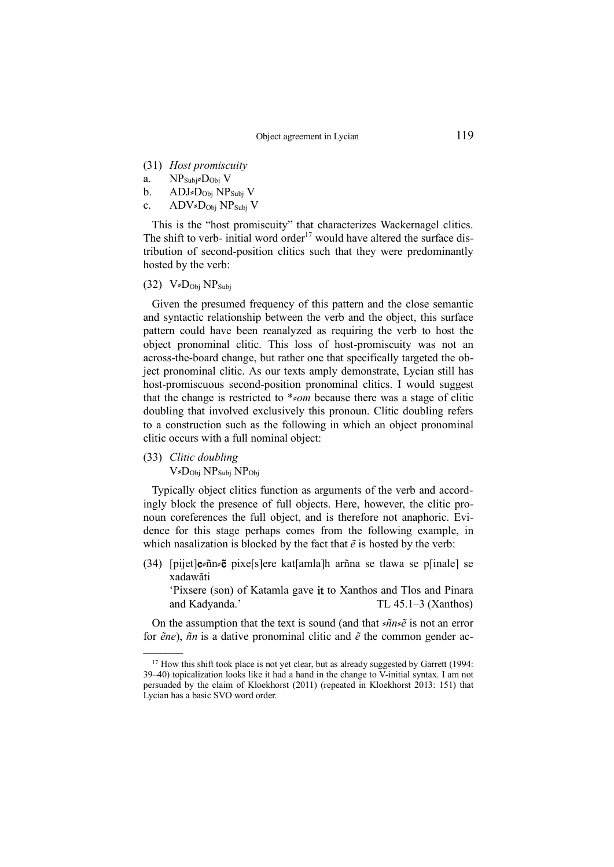- (31) *Host promiscuity*
- a.  $NP_{Subi} \times Do_{bi} V$
- b. ADJ= $D_{Obj} NP_{Subj} V$
- c. ADV $D_{\text{Obj}}$  NP<sub>Subj</sub> V

This is the "host promiscuity" that characterizes Wackernagel clitics. The shift to verb- initial word order<sup>17</sup> would have altered the surface distribution of second-position clitics such that they were predominantly hosted by the verb:

 $(32)$  V=D<sub>Obj</sub> NP<sub>Subj</sub>

Given the presumed frequency of this pattern and the close semantic and syntactic relationship between the verb and the object, this surface pattern could have been reanalyzed as requiring the verb to host the object pronominal clitic. This loss of host-promiscuity was not an across-the-board change, but rather one that specifically targeted the object pronominal clitic. As our texts amply demonstrate, Lycian still has host-promiscuous second-position pronominal clitics. I would suggest that the change is restricted to \**\*om* because there was a stage of clitic doubling that involved exclusively this pronoun. Clitic doubling refers to a construction such as the following in which an object pronominal clitic occurs with a full nominal object:

(33) *Clitic doubling*  $V_zD_{Obj}NP_{Subi}NP_{Obj}$ 

–––––––

Typically object clitics function as arguments of the verb and accordingly block the presence of full objects. Here, however, the clitic pronoun coreferences the full object, and is therefore not anaphoric. Evidence for this stage perhaps comes from the following example, in which nasalization is blocked by the fact that *ẽ* is hosted by the verb:

(34) [pijet]e $\epsilon$ ñn  $\epsilon$ ë pixe[s]ere kat[amla]h arñna se tlawa se p[inale] se xadawãti

'Pixsere (son) of Katamla gave it to Xanthos and Tlos and Pinara and Kadyanda.' TL 45.1–3 (Xanthos)

On the assumption that the text is sound (and that ≠*ñn*≠ $\tilde{e}$  is not an error for *ẽne*), *ñn* is a dative pronominal clitic and *ẽ* the common gender ac-

 $17$  How this shift took place is not yet clear, but as already suggested by Garrett (1994: 39–40) topicalization looks like it had a hand in the change to V-initial syntax. I am not persuaded by the claim of Kloekhorst (2011) (repeated in Kloekhorst 2013: 151) that Lycian has a basic SVO word order.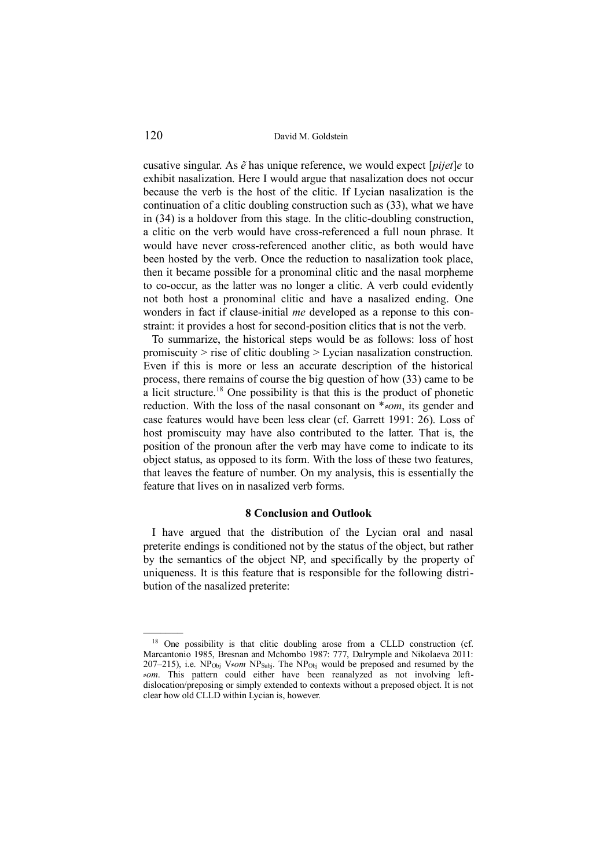cusative singular. As *ẽ* has unique reference, we would expect [*pijet*]*e* to exhibit nasalization. Here I would argue that nasalization does not occur because the verb is the host of the clitic. If Lycian nasalization is the continuation of a clitic doubling construction such as (33), what we have in (34) is a holdover from this stage. In the clitic-doubling construction, a clitic on the verb would have cross-referenced a full noun phrase. It would have never cross-referenced another clitic, as both would have been hosted by the verb. Once the reduction to nasalization took place, then it became possible for a pronominal clitic and the nasal morpheme to co-occur, as the latter was no longer a clitic. A verb could evidently not both host a pronominal clitic and have a nasalized ending. One wonders in fact if clause-initial *me* developed as a reponse to this constraint: it provides a host for second-position clitics that is not the verb.

To summarize, the historical steps would be as follows: loss of host promiscuity > rise of clitic doubling > Lycian nasalization construction. Even if this is more or less an accurate description of the historical process, there remains of course the big question of how (33) came to be a licit structure.<sup>18</sup> One possibility is that this is the product of phonetic reduction. With the loss of the nasal consonant on \*<sub></sub> $\epsilon$ *om*, its gender and case features would have been less clear (cf. Garrett 1991: 26). Loss of host promiscuity may have also contributed to the latter. That is, the position of the pronoun after the verb may have come to indicate to its object status, as opposed to its form. With the loss of these two features, that leaves the feature of number. On my analysis, this is essentially the feature that lives on in nasalized verb forms.

### **8 Conclusion and Outlook**

I have argued that the distribution of the Lycian oral and nasal preterite endings is conditioned not by the status of the object, but rather by the semantics of the object NP, and specifically by the property of uniqueness. It is this feature that is responsible for the following distribution of the nasalized preterite:

<sup>&</sup>lt;sup>18</sup> One possibility is that clitic doubling arose from a CLLD construction (cf. Marcantonio 1985, Bresnan and Mchombo 1987: 777, Dalrymple and Nikolaeva 2011: 207–215), i.e.  $NP<sub>Obj</sub> V<sub>z</sub>om NP<sub>Subi</sub>$ . The  $NP<sub>Obj</sub>$  would be preposed and resumed by the ⸗*om*. This pattern could either have been reanalyzed as not involving leftdislocation/preposing or simply extended to contexts without a preposed object. It is not clear how old CLLD within Lycian is, however.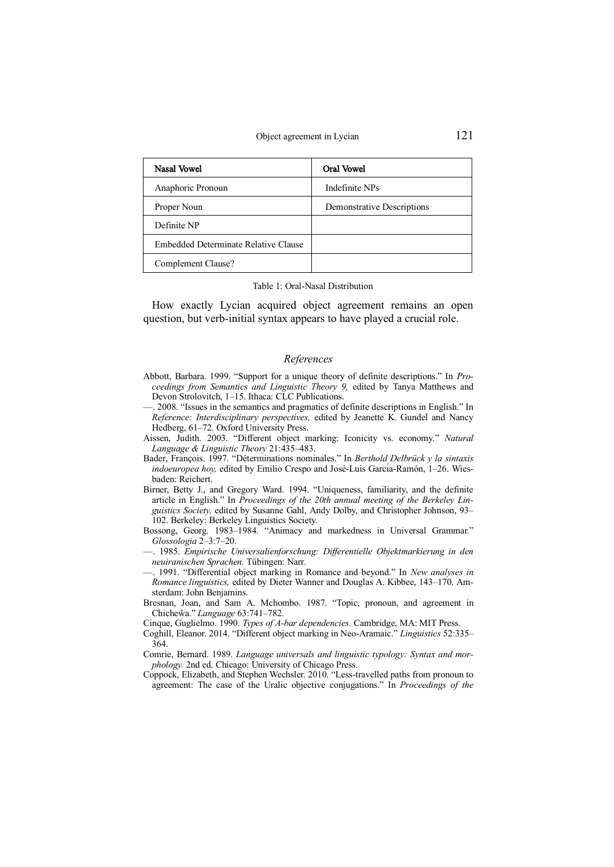| Nasal Vowel                          | Oral Vowel                 |
|--------------------------------------|----------------------------|
| Anaphoric Pronoun                    | Indefinite NPs             |
| Proper Noun                          | Demonstrative Descriptions |
| Definite NP                          |                            |
| Embedded Determinate Relative Clause |                            |
| Complement Clause?                   |                            |

#### Table 1: Oral-Nasal Distribution

How exactly Lycian acquired object agreement remains an open question, but verb-initial syntax appears to have played a crucial role.

#### *References*

- Abbott, Barbara. 1999. "Support for a unique theory of definite descriptions." In *Proceedings from Semantics and Linguistic Theory 9,* edited by Tanya Matthews and Devon Strolovitch, 1–15. Ithaca: CLC Publications.
- —. 2008. "Issues in the semantics and pragmatics of definite descriptions in English." In *Reference: Interdisciplinary perspectives,* edited by Jeanette K. Gundel and Nancy Hedberg, 61–72. Oxford University Press.
- Aissen, Judith. 2003. "Different object marking: Iconicity vs. economy." *Natural Language & Linguistic Theory* 21:435–483.
- Bader, François. 1997. "Déterminations nominales." In *Berthold Delbrück y la sintaxis indoeuropea hoy,* edited by Emilio Crespo and José-Luis Garcı́a-Ramón, 1–26. Wiesbaden: Reichert.
- Birner, Betty J., and Gregory Ward. 1994. "Uniqueness, familiarity, and the definite article in English." In *Proceedings of the 20th annual meeting of the Berkeley Linguistics Society,* edited by Susanne Gahl, Andy Dolby, and Christopher Johnson, 93– 102. Berkeley: Berkeley Linguistics Society.
- Bossong, Georg. 1983–1984. "Animacy and markedness in Universal Grammar." *Glossologia* 2–3:7–20.
- —. 1985. *Empirische Universalienforschung: Differentielle Objektmarkierung in den neuiranischen Sprachen.* Tübingen: Narr.
- —. 1991. "Differential object marking in Romance and beyond." In *New analyses in Romance linguistics,* edited by Dieter Wanner and Douglas A. Kibbee, 143–170. Amsterdam: John Benjamins.
- Bresnan, Joan, and Sam A. Mchombo. 1987. "Topic, pronoun, and agreement in Chicheŵa." *Language* 63:741–782.
- Cinque, Guglielmo. 1990. *Types of A-bar dependencies.* Cambridge, MA: MIT Press.
- Coghill, Eleanor. 2014. "Different object marking in Neo-Aramaic." *Linguistics* 52:335– 364.
- Comrie, Bernard. 1989. *Language universals and linguistic typology: Syntax and morphology.* 2nd ed. Chicago: University of Chicago Press.
- Coppock, Elizabeth, and Stephen Wechsler. 2010. "Less-travelled paths from pronoun to agreement: The case of the Uralic objective conjugations." In *Proceedings of the*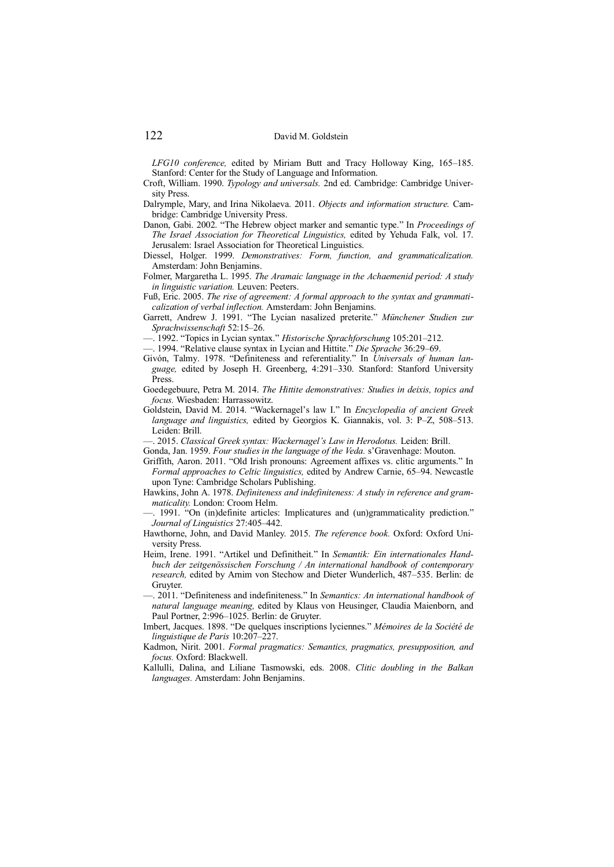*LFG10 conference,* edited by Miriam Butt and Tracy Holloway King, 165–185. Stanford: Center for the Study of Language and Information.

- Croft, William. 1990. *Typology and universals.* 2nd ed. Cambridge: Cambridge University Press.
- Dalrymple, Mary, and Irina Nikolaeva. 2011. *Objects and information structure.* Cambridge: Cambridge University Press.
- Danon, Gabi. 2002. "The Hebrew object marker and semantic type." In *Proceedings of The Israel Association for Theoretical Linguistics,* edited by Yehuda Falk, vol. 17. Jerusalem: Israel Association for Theoretical Linguistics.
- Diessel, Holger. 1999. *Demonstratives: Form, function, and grammaticalization.*  Amsterdam: John Benjamins.
- Folmer, Margaretha L. 1995. *The Aramaic language in the Achaemenid period: A study in linguistic variation.* Leuven: Peeters.
- Fuß, Eric. 2005. *The rise of agreement: A formal approach to the syntax and grammaticalization of verbal inflection.* Amsterdam: John Benjamins.
- Garrett, Andrew J. 1991. "The Lycian nasalized preterite." *Münchener Studien zur Sprachwissenschaft* 52:15–26.

—. 1992. "Topics in Lycian syntax." *Historische Sprachforschung* 105:201–212.

- —. 1994. "Relative clause syntax in Lycian and Hittite." *Die Sprache* 36:29–69.
- Givón, Talmy. 1978. "Definiteness and referentiality." In *Universals of human language,* edited by Joseph H. Greenberg, 4:291–330. Stanford: Stanford University Press.
- Goedegebuure, Petra M. 2014. *The Hittite demonstratives: Studies in deixis, topics and focus.* Wiesbaden: Harrassowitz.
- Goldstein, David M. 2014. "Wackernagel's law I." In *Encyclopedia of ancient Greek language and linguistics,* edited by Georgios K. Giannakis, vol. 3: P–Z, 508–513. Leiden: Brill.

—. 2015. *Classical Greek syntax: Wackernagel's Law in Herodotus.* Leiden: Brill.

- Gonda, Jan. 1959. *Four studies in the language of the Veda.* s'Gravenhage: Mouton.
- Griffith, Aaron. 2011. "Old Irish pronouns: Agreement affixes vs. clitic arguments." In *Formal approaches to Celtic linguistics,* edited by Andrew Carnie, 65–94. Newcastle upon Tyne: Cambridge Scholars Publishing.
- Hawkins, John A. 1978. *Definiteness and indefiniteness: A study in reference and grammaticality.* London: Croom Helm.
- —. 1991. "On (in)definite articles: Implicatures and (un)grammaticality prediction." *Journal of Linguistics* 27:405–442.
- Hawthorne, John, and David Manley. 2015. *The reference book.* Oxford: Oxford University Press.
- Heim, Irene. 1991. "Artikel und Definitheit." In *Semantik: Ein internationales Handbuch der zeitgenössischen Forschung / An international handbook of contemporary research,* edited by Arnim von Stechow and Dieter Wunderlich, 487–535. Berlin: de Gruyter.
- —. 2011. "Definiteness and indefiniteness." In *Semantics: An international handbook of natural language meaning,* edited by Klaus von Heusinger, Claudia Maienborn, and Paul Portner, 2:996–1025. Berlin: de Gruyter.
- Imbert, Jacques. 1898. "De quelques inscriptions lyciennes." *Mémoires de la Société de linguistique de Paris* 10:207–227.

Kadmon, Nirit. 2001. *Formal pragmatics: Semantics, pragmatics, presupposition, and focus.* Oxford: Blackwell.

Kallulli, Dalina, and Liliane Tasmowski, eds. 2008. *Clitic doubling in the Balkan languages.* Amsterdam: John Benjamins.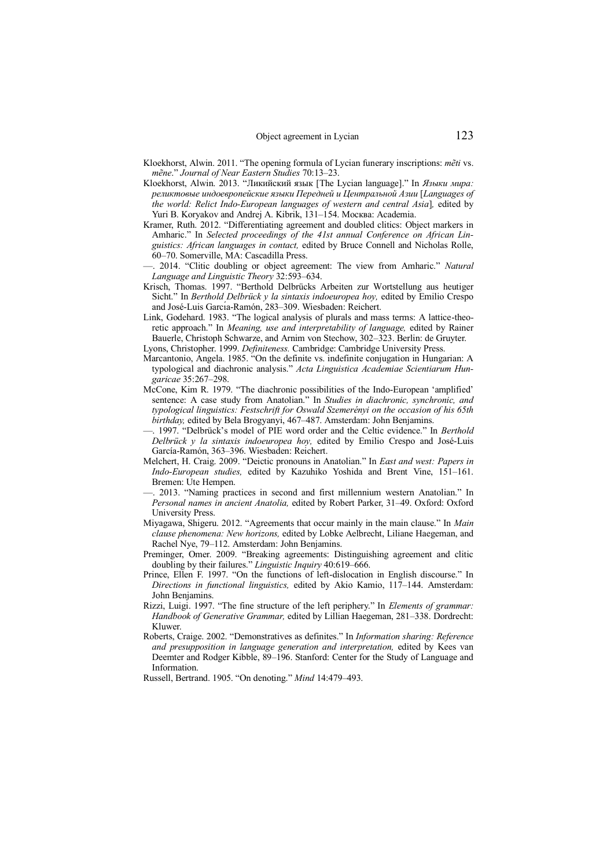- Kloekhorst, Alwin. 2011. "The opening formula of Lycian funerary inscriptions: *mẽti* vs. *mẽne*." *Journal of Near Eastern Studies* 70:13–23.
- Kloekhorst, Alwin. 2013. "Ликийский язык [The Lycian language]." In *Языки мира: реликтовые индоевропейские языки Передней и Центральной Азии* [*Languages of the world: Relict Indo-European languages of western and central Asia*]*,* edited by Yuri B. Koryakov and Andrej A. Kibrik, 131–154. Москва: Academia.
- Kramer, Ruth. 2012. "Differentiating agreement and doubled clitics: Object markers in Amharic." In *Selected proceedings of the 41st annual Conference on African Linguistics: African languages in contact,* edited by Bruce Connell and Nicholas Rolle, 60–70. Somerville, MA: Cascadilla Press.
- —. 2014. "Clitic doubling or object agreement: The view from Amharic." *Natural Language and Linguistic Theory* 32:593–634.
- Krisch, Thomas. 1997. "Berthold Delbrücks Arbeiten zur Wortstellung aus heutiger Sicht." In *Berthold Delbrück y la sintaxis indoeuropea hoy,* edited by Emilio Crespo and José-Luis Garcı́a-Ramón, 283–309. Wiesbaden: Reichert.
- Link, Godehard. 1983. "The logical analysis of plurals and mass terms: A lattice-theoretic approach." In *Meaning, use and interpretability of language,* edited by Rainer Bauerle, Christoph Schwarze, and Arnim von Stechow, 302–323. Berlin: de Gruyter. Lyons, Christopher. 1999. *Definiteness.* Cambridge: Cambridge University Press.
- Marcantonio, Angela. 1985. "On the definite vs. indefinite conjugation in Hungarian: A typological and diachronic analysis." *Acta Linguistica Academiae Scientiarum Hungaricae* 35:267–298.
- McCone, Kim R. 1979. "The diachronic possibilities of the Indo-European 'amplified' sentence: A case study from Anatolian." In *Studies in diachronic, synchronic, and typological linguistics: Festschrift for Oswald Szemerényi on the occasion of his 65th birthday,* edited by Bela Brogyanyi, 467–487. Amsterdam: John Benjamins.
- —. 1997. "Delbrück's model of PIE word order and the Celtic evidence." In *Berthold Delbrück y la sintaxis indoeuropea hoy,* edited by Emilio Crespo and José-Luis García-Ramón, 363–396. Wiesbaden: Reichert.
- Melchert, H. Craig. 2009. "Deictic pronouns in Anatolian." In *East and west: Papers in Indo-European studies,* edited by Kazuhiko Yoshida and Brent Vine, 151–161. Bremen: Ute Hempen.
- 2013. "Naming practices in second and first millennium western Anatolian." In *Personal names in ancient Anatolia,* edited by Robert Parker, 31–49. Oxford: Oxford University Press.
- Miyagawa, Shigeru. 2012. "Agreements that occur mainly in the main clause." In *Main clause phenomena: New horizons,* edited by Lobke Aelbrecht, Liliane Haegeman, and Rachel Nye, 79–112. Amsterdam: John Benjamins.
- Preminger, Omer. 2009. "Breaking agreements: Distinguishing agreement and clitic doubling by their failures." *Linguistic Inquiry* 40:619–666.
- Prince, Ellen F. 1997. "On the functions of left-dislocation in English discourse." In *Directions in functional linguistics,* edited by Akio Kamio, 117–144. Amsterdam: John Benjamins.
- Rizzi, Luigi. 1997. "The fine structure of the left periphery." In *Elements of grammar: Handbook of Generative Grammar,* edited by Lillian Haegeman, 281–338. Dordrecht: Kluwer.
- Roberts, Craige. 2002. "Demonstratives as definites." In *Information sharing: Reference and presupposition in language generation and interpretation,* edited by Kees van Deemter and Rodger Kibble, 89–196. Stanford: Center for the Study of Language and Information.

Russell, Bertrand. 1905. "On denoting." *Mind* 14:479–493.